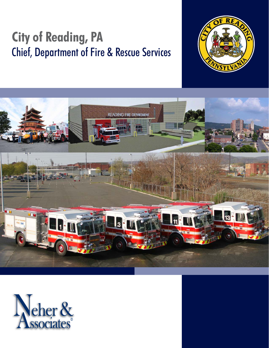# **City of Reading, PA** Chief, Department of Fire & Rescue Services





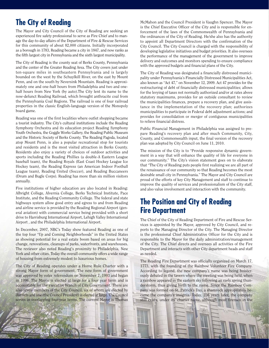### **The City of Reading**

The Mayor and City Council of the City of Reading are seeking an experienced fire safety professional to serve as Fire Chief and to manage the day-to-day affairs of the Department of Fire & Rescue Services for this community of about 82,000 citizens. Initially incorporated as a borough in 1783, Reading became a city in 1847, and now ranks as the fifth largest city in Pennsylvania and the sixth largest municipality.

The City of Reading is the county seat of Berks County, Pennsylvania and the center of the Greater Reading Area. The City covers just under ten-square miles in southeastern Pennsylvania and is largely bounded on the west by the Schuylkill River, on the east by Mount Penn, and on the south by Neversink Mountain. Reading is approximately one and one-half hours from Philadelphia and two and onehalf hours from New York (by auto).The City lent its name to the now-defunct Reading Railroad, which brought anthracite coal from the Pennsylvania Coal Regions. The railroad is one of four railroad properties in the classic English-language version of the Monopoly board game.

Reading was one of the first localities where outlet shopping became a tourist industry. The City's cultural institutions include the Reading Symphony Orchestra and its education project Reading Symphony Youth Orchestra, the Goggle Works Gallery, the Reading Public Museum and the Historic Society of Berks County. The Reading Pagoda, located atop Mount Penn, is also a popular recreational stop for tourists and residents and is the most visited attraction in Berks County. Residents also enjoy a variety of choices of outdoor activities and sports including the Reading Phillies (a double-A Eastern League baseball team), the Reading Royals (East Coast Hockey League Ice Hockey team), the Reading Express (an American Indoor Football League team), Reading United (Soccer), and Reading Buccaneers (Drum and Bugle Corps). Reading has more than six million visitors annually.

Five institutions of higher education are also located in Reading: Albright College, Alvernia College, Berks Technical Institute, Pace Institute, and the Reading Community College. The federal and state highways system allow good entry and egress to and from Reading and airline service is provided by the Reading Regional Airport (general aviation) with commercial service being provided with a short drive to Harrisburg International Airport, Lehigh Valley International Airport , and the Philadelphia International Airport.

In December, 2007, NBC's Today show featured Reading as one of the top four "Up and Coming Neighborhoods" in the United States as showing potential for a real estate boom based on areas for big change, renovations, cleanups of parks, waterfronts, and warehouses. The reviewer also noted Reading's proximity to Philadelphia, New York and other cities. Today the overall community offers a wide range of housing from extremely modest to luxurious homes.

The City of Reading operates under a Home Rule Charter with a strong Mayor form of government. The new form of government was approved by voter referendum on November 7, 1993 and began in 1996. The Mayor is elected at large for a four year term and is accountable for the executive branch of City Government. There are also seven members of the City Council, six of whom are elected by districts and one (the Council President) is elected at large. The Council serves in overlapping four-year terms. The current Mayor is Thomas

McMahon and the Council President is Vaughn Spencer. The Mayor is the Chief Executive Officer of the City and is responsible for enforcement of the laws of the Commonwealth of Pennsylvania and the ordinances of the City of Reading. He/she also has the authority to appoint all Department Directors with the confirmation of the City Council. The City Council is charged with the responsibility of developing legislative initiatives and budget priorities. It also oversees the performance of the management of the government to improve delivery and outcomes and monitors spending to ensure compliance with the approved budgets and financial plans of the City.

The City of Reading was designated a financially distressed municipality under Pennsylvania's Financially Distressed Municipalities Act, also known as "Act 47," on November 12, 2009. Act 47 provides for the restructuring of debt of financially distressed municipalities; allows for the levying of taxes not normally authorized and/or at rates above statutory maximums, provides for an outside consultant to review the municipalities finances, prepare a recovery plan, and give assistance in the implementation of the recovery plan; authorizes municipalities to participate in Federal debt adjustment actions; and provides for consolidation or merger of contiguous municipalities to relieve financial distress.

Public Financial Management in Philadelphia was assigned to prepare Reading's recovery plan and after much Community, City, County, and Commonwealth input, the final version of the recovery plan was adopted by City Council on June 11, 2010.

The mission of the City is to "Provide responsive dynamic government in a way that will enhance the quality of life for everyone in our community." The City's vision statement goes on to elaborate that "The City of Reading puts people first realizing we are all part of the renaissance of our community so that Reading becomes the most desirable small city in Pennsylvania." The Mayor and City Council are proud of the efforts of key City Management and staff to continue to improve the quality of services and professionalism of the City staff, and also value involvement and interaction with the community.

### **The Position and City of Reading Fire Department**

The Chief of the City of Reading Department of Fire and Rescue Services is appointed by the Mayor, approved by City Council, and reports to the Managing Director of the City. The Managing Director is the professional Chief Administrative Officer for the City and is responsible to the Mayor for the daily administration/management of the City. The Chief directs and oversees all activities of the Fire Department and interacts with other City department heads and staff as needed.

The Reading Fire Department was officially organized on March 17, 1773, with the founding of the Rainbow Volunteer Fire Company. According to legend, the new company's name was being boisterously debated in the tavern where the meeting was being held, when a rainbow appeared in the eastern sky following an early spring thunderstorm, thus giving birth to the name. Since the Rainbow Company was formed on St. Patrick's Day, a shamrock appropriately became the company's insignia. Today, 236 years later, the company still exists, under its' charter name, although most firemen in the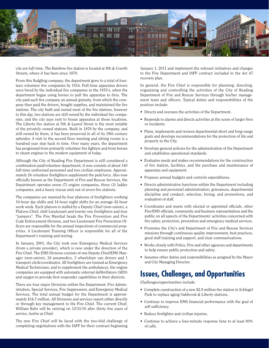

city are full-time. The Rainbow fire station is located at 8th & Courth Streets, where it has been since 1870.

From this fledgling company, the department grew to a total of fourteen volunteer fire companies by 1914. Full-time apparatus drivers were hired by the individual fire companies in the 1870's, when the department began using horses to pull the apparatus to fires. The city paid each fire company an annual gratuity, from which the company then paid the drivers, bought supplies, and maintained the fire stations. The city built and owned most of the fire stations, however to this day, two stations are still owned by the individual fire companies, and the city pays rent to house apparatus at those locations. The Liberty fire station at 5th & Laurel Street is the most notable of the privately owned stations. Built in 1876 by the company, and still owned by them, it has been preserved in all of its 19th century splendor. A visit to the second floor meeting and sitting rooms is a hundred year step back in time. Over many years, the department has progressed from primarily volunteer fire fighters and from horses to steam engines to the modern equipment of today.

Although the City of Reading Fire Department is still considered a combination paid/volunteer department, it now consists of about 140 full-time uniformed personnel and two civilian employees. Approximately 24 volunteer firefighters supplement the paid force. Also now officially known as the Department of Fire and Rescue Services, the Department operates seven (7) engine companies, three (3) ladder companies, and a heavy rescue unit out of seven fire stations.

The companies are manned by four platoons of firefighters working 10-hour day shifts and 14-hour night shifts for an average 42-hour work week. Each platoon is staffed by a Deputy Chief (non-union), a Platoon Chief, shift Lieutenant and twenty-one firefighters and four "jumpers". The Fire Marshal heads the Fire Prevention and Fire Code Enforcement Division, and two Lieutenant Fire Prevention Officers are responsible for the annual inspections of commercial properties. A Lieutenant Training Officer is responsible for all of the Department's training and testing.

In January, 2001, the City took over Emergency Medical Services (from a private provider), which is now under the direction of the Fire Chief. The EMS Division consists of one Deputy Chief/EMS Manager (non-union), 24 paramedics, 3 wheelchair van drivers and 1 transport clerk/coordinator. All firefighters are trained as Emergency Medical Technicians, and to supplement the ambulances, the engine companies are equipped with automatic external defibrillators (AED) and oxygen to provide first-responder capabilities in their districts.

There are four major Divisions within the Department: Fire Administration, Special Services, Fire Suppression, and Emergency Medical Services. The total annual budget for the Department is approximately \$14.7 million. All Divisions and services report either directly or through key management to the Fire Chief. The current Chief, William Rehr will be retiring on 12/31/10 after thirty five years of service, twelve as Chief.

The new Fire Chief will be faced with the two-fold challenge of completing negotiations with the IAFF for their contract beginning January 1, 2011 and implement the relevant initiatives and changes to the Fire Department and IAFF contract included in the Act 47 recovery plan.

In general, the Fire Chief is responsible for planning, directing, organizing and controlling the activities of the City of Reading Department of Fire and Rescue Services through his/her management team and officers. Typical duties and responsibilities of the position include:

- Directs and oversees the activities of the Department.
- Responds to alarms and directs activities at the scene of larger fires or incidents.
- Plans, implements and reviews departmental short and long-range goals and develops recommendations for the protection of life and property in the City.
- Develops general policies for the administration of the Department and establishes operational standards.
- Evaluates needs and makes recommendations for the construction of fire station, facilities, and the purchase and maintenance of apparatus and equipment.
- Prepares annual budgets and controls expenditures.
- Directs administrative functions within the Department including planning and personnel administration, grievances, departmental discipline and conduct, selection, hiring, and promotions, and evaluation of staff.
- Coordinates and meets with elected or appointed officials, other Fire/EMS officials, community and business representatives and the public on all aspects of the Departments' activities concerned with fire safety, protection, prevention and emergency medical services.
- Promotes the City's and Department of Fire and Rescue Services missions through continuous quality improvement, best practices, good staff training and support, and clear communications.
- Works closely with Police, Fire and other agencies and departments to help ensure public protection and safety.
- Assumes other duties and responsibilities as assigned by the Mayor and City Managing Director.

### **Issues, Challenges, and Opportunities**

Challenges/opportunities include:

- Complete construction of a new \$2.8 million fire station in Schlegel Park to replace aging Oakbrook & Liberty stations.
- Continue to improve EMS financial performance with the goal of self-sufficiency.
- Reduce firefighter and civilian injuries.
- Continue to achieve a four-minute response time to at least 80% of calls.